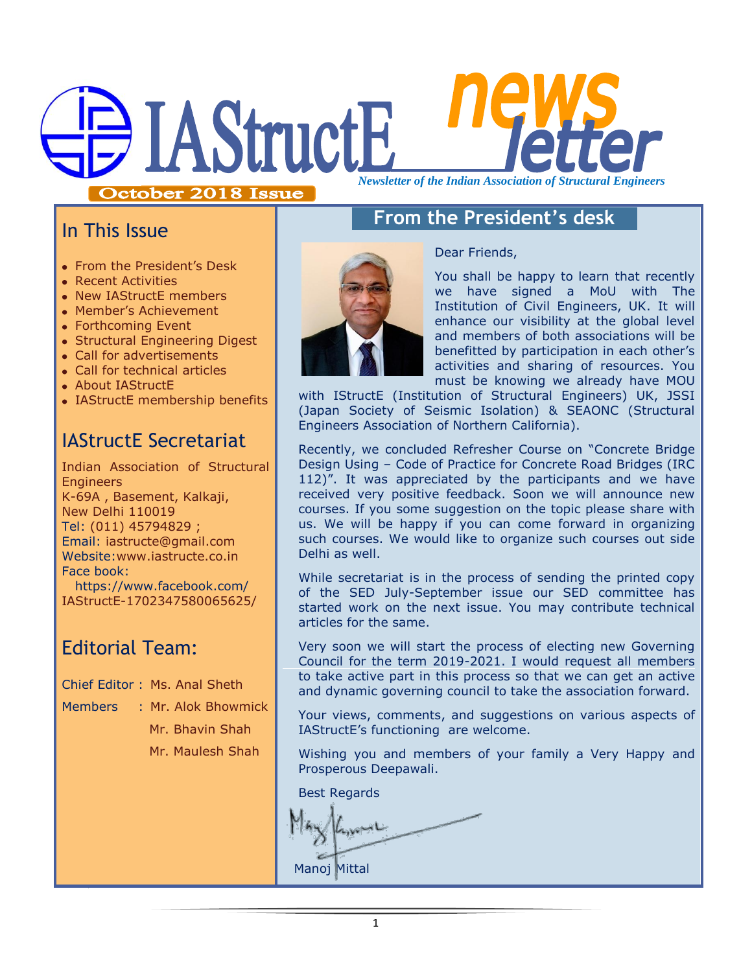# **IAStructE** *Newsletter of the Indian Association of Structural Engineers*

October 2018 Issue

# In This Issue

- From the President's Desk
- Recent Activities
- New IAStructE members
- Member's Achievement
- Forthcoming Event
- Structural Engineering Digest
- Call for advertisements
- Call for technical articles
- About IAStructE
- IAStructE membership benefits

# IAStructE Secretariat

Indian Association of Structural **Engineers** K-69A , Basement, Kalkaji, New Delhi 110019 Tel: (011) 45794829 ; Email: iastructe@gmail.com Website[:www.iastructe.co.in](http://www.iastructe.co.in/) Face book: [https://www.facebook.com/](https://www.facebook.com/%20IAStructE-1702347580065625/) 

[IAStructE-1702347580065625/](https://www.facebook.com/%20IAStructE-1702347580065625/)

# Editorial Team:

Chief Editor : Ms. Anal Sheth

Members : Mr. Alok Bhowmick Mr. Bhavin Shah Mr. Maulesh Shah



# **From the President's desk**

Dear Friends,

You shall be happy to learn that recently we have signed a MoU with The Institution of Civil Engineers, UK. It will enhance our visibility at the global level and members of both associations will be benefitted by participation in each other's activities and sharing of resources. You must be knowing we already have MOU

with IStructE (Institution of Structural Engineers) UK, JSSI (Japan Society of Seismic Isolation) & SEAONC (Structural Engineers Association of Northern California).

Recently, we concluded Refresher Course on "Concrete Bridge Design Using – Code of Practice for Concrete Road Bridges (IRC 112)". It was appreciated by the participants and we have received very positive feedback. Soon we will announce new courses. If you some suggestion on the topic please share with us. We will be happy if you can come forward in organizing such courses. We would like to organize such courses out side Delhi as well.

While secretariat is in the process of sending the printed copy of the SED July-September issue our SED committee has started work on the next issue. You may contribute technical articles for the same.

Very soon we will start the process of electing new Governing Council for the term 2019-2021. I would request all members to take active part in this process so that we can get an active and dynamic governing council to take the association forward.

Your views, comments, and suggestions on various aspects of IAStructE"s functioning are welcome.

Wishing you and members of your family a Very Happy and Prosperous Deepawali.

Best Regards

Manoj Mittal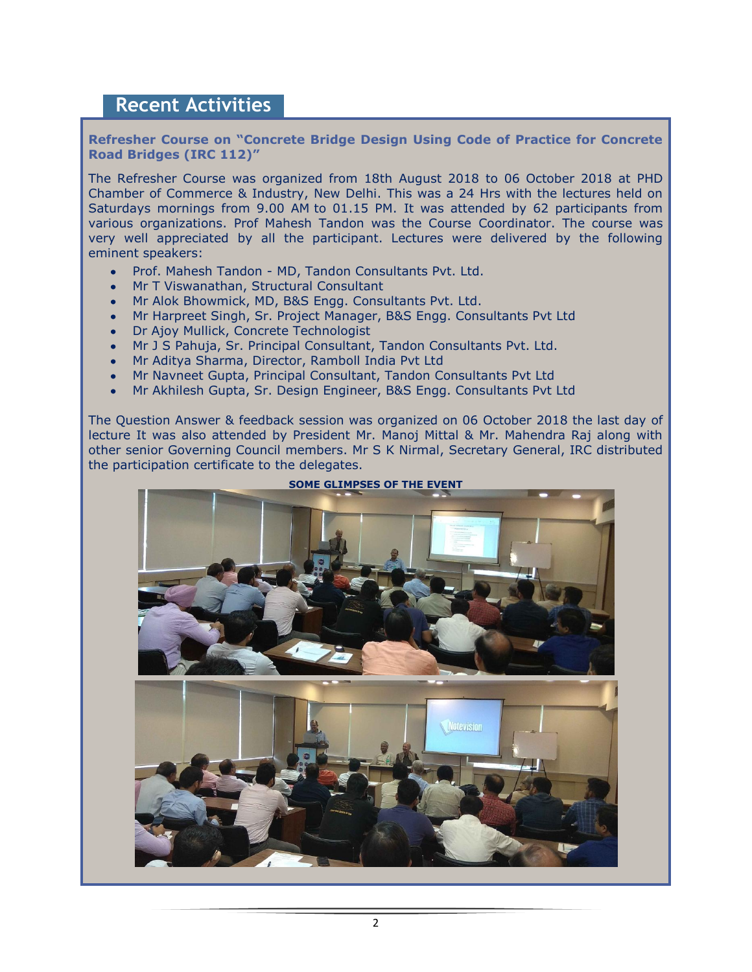## **Recent Activities**

**Refresher Course on "Concrete Bridge Design Using Code of Practice for Concrete Road Bridges (IRC 112)"** 

The Refresher Course was organized from 18th August 2018 to 06 October 2018 at PHD Chamber of Commerce & Industry, New Delhi. This was a 24 Hrs with the lectures held on Saturdays mornings from 9.00 AM to 01.15 PM. It was attended by 62 participants from various organizations. Prof Mahesh Tandon was the Course Coordinator. The course was very well appreciated by all the participant. Lectures were delivered by the following eminent speakers:

- Prof. Mahesh Tandon MD, Tandon Consultants Pvt. Ltd.
- Mr T Viswanathan, Structural Consultant
- Mr Alok Bhowmick, MD, B&S Engg. Consultants Pvt. Ltd.
- Mr Harpreet Singh, Sr. Project Manager, B&S Engg. Consultants Pvt Ltd
- Dr Ajoy Mullick, Concrete Technologist
- Mr J S Pahuja, Sr. Principal Consultant, Tandon Consultants Pvt. Ltd.
- Mr Aditya Sharma, Director, Ramboll India Pvt Ltd
- Mr Navneet Gupta, Principal Consultant, Tandon Consultants Pvt Ltd  $\bullet$
- Mr Akhilesh Gupta, Sr. Design Engineer, B&S Engg. Consultants Pvt Ltd  $\bullet$

The Question Answer & feedback session was organized on 06 October 2018 the last day of lecture It was also attended by President Mr. Manoj Mittal & Mr. Mahendra Raj along with other senior Governing Council members. Mr S K Nirmal, Secretary General, IRC distributed the participation certificate to the delegates.

**SOME GLIMPSES OF THE EVENT**

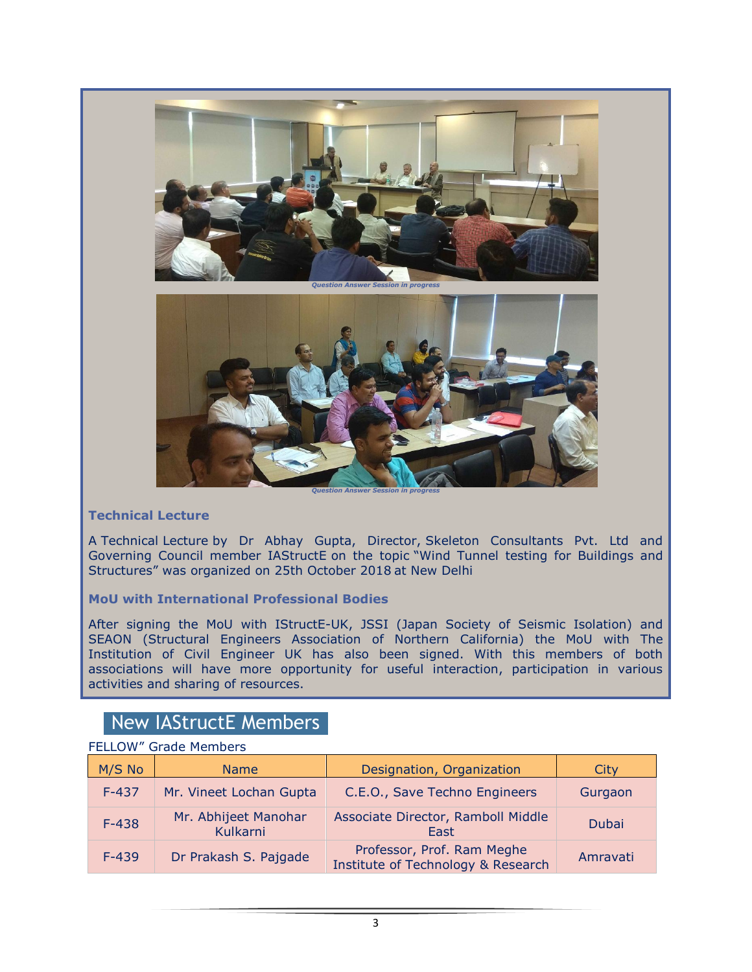

### **Technical Lecture**

A Technical Lecture by Dr Abhay Gupta, Director, Skeleton Consultants Pvt. Ltd and Governing Council member IAStructE on the topic "Wind Tunnel testing for Buildings and Structures" was organized on 25th October 2018 at New Delhi

#### **MoU with International Professional Bodies**

After signing the MoU with IStructE-UK, JSSI (Japan Society of Seismic Isolation) and SEAON (Structural Engineers Association of Northern California) the MoU with The Institution of Civil Engineer UK has also been signed. With this members of both associations will have more opportunity for useful interaction, participation in various activities and sharing of resources.

# New IAStructE Members

| <b>FLLLUW</b><br>Gique Menibers |                                  |                                                                  |          |
|---------------------------------|----------------------------------|------------------------------------------------------------------|----------|
| M/S No                          | <b>Name</b>                      | Designation, Organization                                        | City     |
| $F-437$                         | Mr. Vineet Lochan Gupta          | C.E.O., Save Techno Engineers                                    | Gurgaon  |
| $F-438$                         | Mr. Abhijeet Manohar<br>Kulkarni | Associate Director, Ramboll Middle<br>East                       | Dubai    |
| $F-439$                         | Dr Prakash S. Pajgade            | Professor, Prof. Ram Meghe<br>Institute of Technology & Research | Amravati |

## FELLOW" Grade Members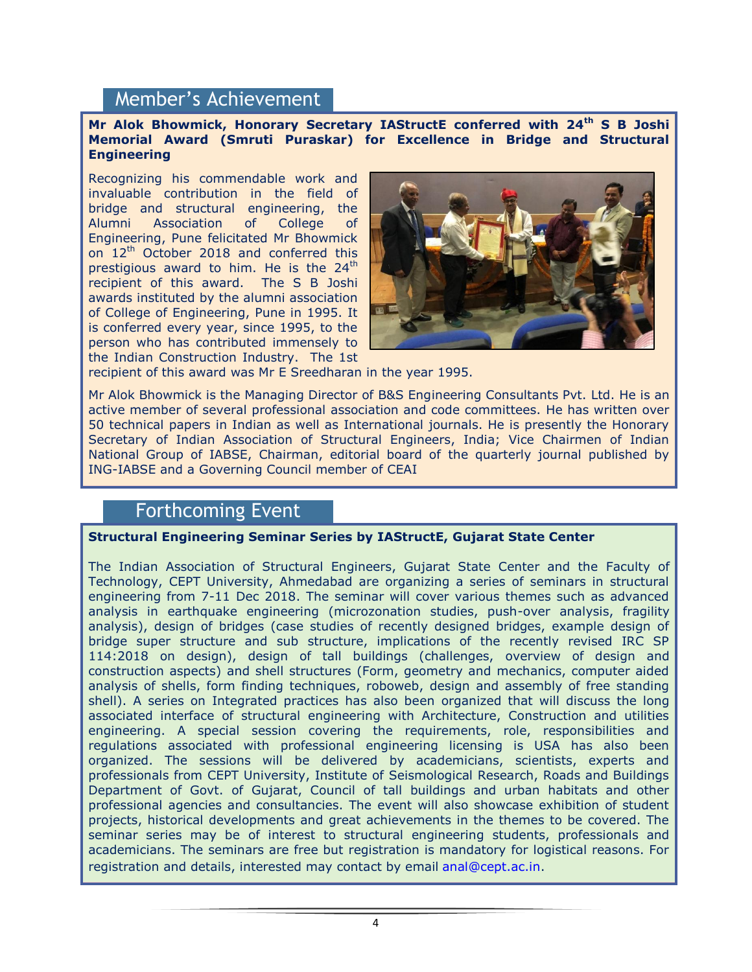## Member's Achievement

#### **Mr Alok Bhowmick, Honorary Secretary IAStructE conferred with 24th S B Joshi Memorial Award (Smruti Puraskar) for Excellence in Bridge and Structural Engineering**

Recognizing his commendable work and invaluable contribution in the field of bridge and structural engineering, the Alumni Association of College of Engineering, Pune felicitated Mr Bhowmick on 12<sup>th</sup> October 2018 and conferred this prestigious award to him. He is the  $24<sup>th</sup>$ recipient of this award. The S B Joshi awards instituted by the alumni association of College of Engineering, Pune in 1995. It is conferred every year, since 1995, to the person who has contributed immensely to the Indian Construction Industry. The 1st



recipient of this award was Mr E Sreedharan in the year 1995.

Mr Alok Bhowmick is the Managing Director of B&S Engineering Consultants Pvt. Ltd. He is an active member of several professional association and code committees. He has written over 50 technical papers in Indian as well as International journals. He is presently the Honorary Secretary of Indian Association of Structural Engineers, India; Vice Chairmen of Indian National Group of IABSE, Chairman, editorial board of the quarterly journal published by ING-IABSE and a Governing Council member of CEAI

## Forthcoming Event

#### **Structural Engineering Seminar Series by IAStructE, Gujarat State Center**

The Indian Association of Structural Engineers, Gujarat State Center and the Faculty of Technology, CEPT University, Ahmedabad are organizing a series of seminars in structural engineering from 7-11 Dec 2018. The seminar will cover various themes such as advanced analysis in earthquake engineering (microzonation studies, push-over analysis, fragility analysis), design of bridges (case studies of recently designed bridges, example design of bridge super structure and sub structure, implications of the recently revised IRC SP 114:2018 on design), design of tall buildings (challenges, overview of design and construction aspects) and shell structures (Form, geometry and mechanics, computer aided analysis of shells, form finding techniques, roboweb, design and assembly of free standing shell). A series on Integrated practices has also been organized that will discuss the long associated interface of structural engineering with Architecture, Construction and utilities engineering. A special session covering the requirements, role, responsibilities and regulations associated with professional engineering licensing is USA has also been organized. The sessions will be delivered by academicians, scientists, experts and professionals from CEPT University, Institute of Seismological Research, Roads and Buildings Department of Govt. of Gujarat, Council of tall buildings and urban habitats and other professional agencies and consultancies. The event will also showcase exhibition of student projects, historical developments and great achievements in the themes to be covered. The seminar series may be of interest to structural engineering students, professionals and academicians. The seminars are free but registration is mandatory for logistical reasons. For registration and details, interested may contact by email [anal@cept.ac.in.](mailto:anal@cept.ac.in)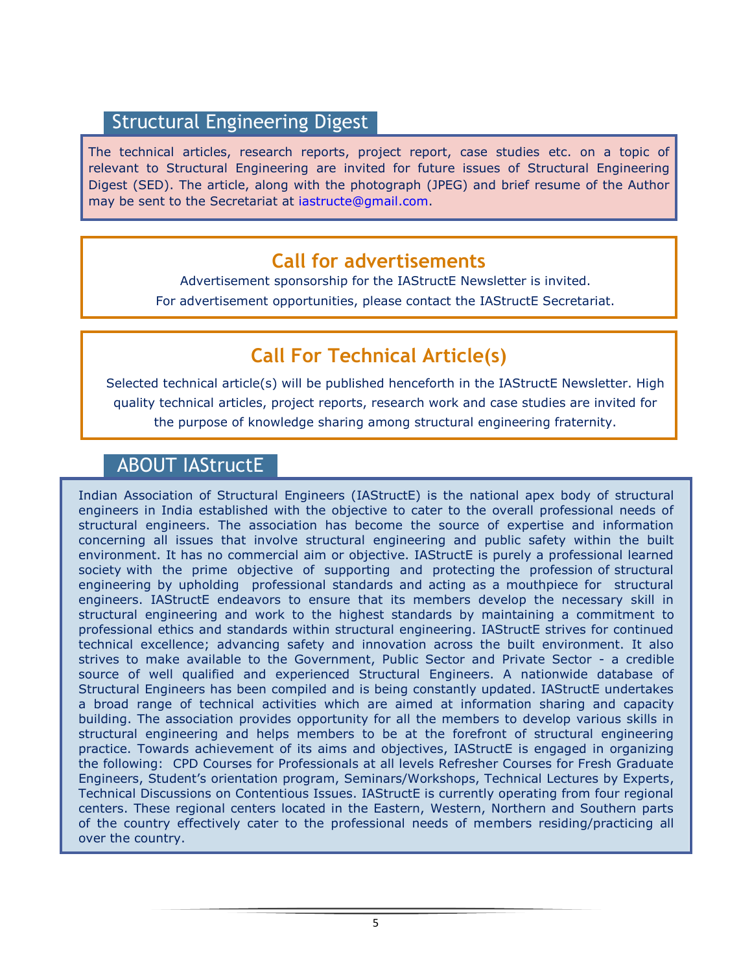# Structural Engineering Digest

The technical articles, research reports, project report, case studies etc. on a topic of relevant to Structural Engineering are invited for future issues of Structural Engineering Digest (SED). The article, along with the photograph (JPEG) and brief resume of the Author may be sent to the Secretariat at [iastructe@gmail.com.](mailto:iastructe@gmail.com)

# **Call for advertisements**

Advertisement sponsorship for the IAStructE Newsletter is invited. For advertisement opportunities, please contact the IAStructE Secretariat.

# **Call For Technical Article(s)**

Selected technical article(s) will be published henceforth in the IAStructE Newsletter. High quality technical articles, project reports, research work and case studies are invited for the purpose of knowledge sharing among structural engineering fraternity.

# ABOUT IAStructE

Indian Association of Structural Engineers (IAStructE) is the national apex body of structural engineers in India established with the objective to cater to the overall professional needs of structural engineers. The association has become the source of expertise and information concerning all issues that involve structural engineering and public safety within the built environment. It has no commercial aim or objective. IAStructE is purely a professional learned society with the prime objective of supporting and protecting the profession of structural engineering by upholding professional standards and acting as a mouthpiece for structural engineers. IAStructE endeavors to ensure that its members develop the necessary skill in structural engineering and work to the highest standards by maintaining a commitment to professional ethics and standards within structural engineering. IAStructE strives for continued technical excellence; advancing safety and innovation across the built environment. It also strives to make available to the Government, Public Sector and Private Sector - a credible source of well qualified and experienced Structural Engineers. A nationwide database of Structural Engineers has been compiled and is being constantly updated. IAStructE undertakes a broad range of technical activities which are aimed at information sharing and capacity building. The association provides opportunity for all the members to develop various skills in structural engineering and helps members to be at the forefront of structural engineering practice. Towards achievement of its aims and objectives, IAStructE is engaged in organizing the following: CPD Courses for Professionals at all levels Refresher Courses for Fresh Graduate Engineers, Student"s orientation program, Seminars/Workshops, Technical Lectures by Experts, Technical Discussions on Contentious Issues. IAStructE is currently operating from four regional centers. These regional centers located in the Eastern, Western, Northern and Southern parts of the country effectively cater to the professional needs of members residing/practicing all over the country.